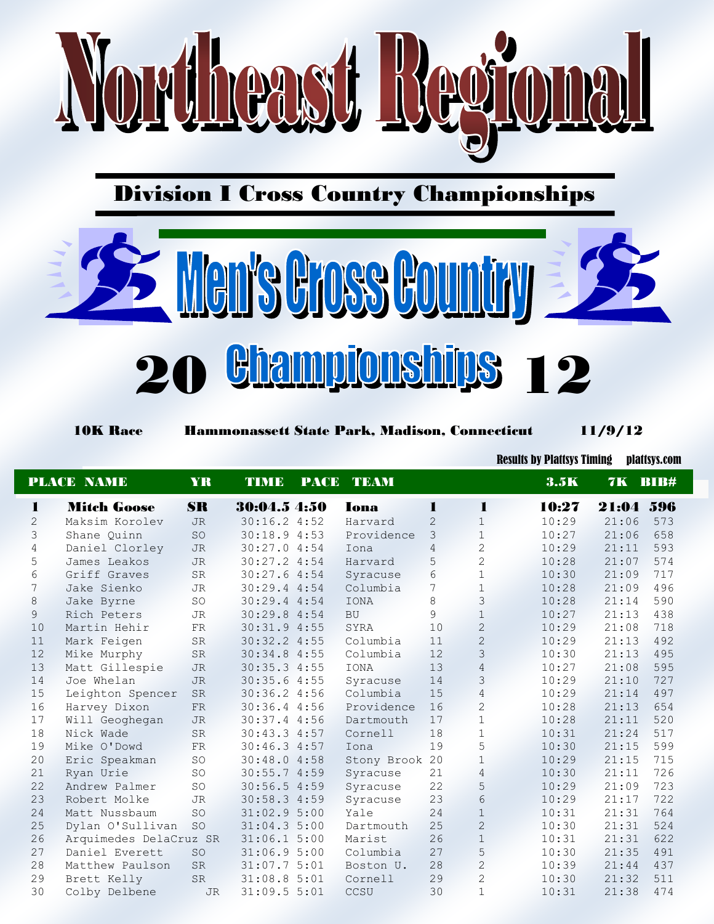

## Division I Cross Country Championships



10K Race Hammonassett State Park, Madison, Connecticut 11/9/12

Results by Plattsys Timing plattsys.com

|                | <b>PLACE NAME</b>      | YR        | <b>TIME</b>  | <b>PACE TEAM</b> |                |                | 3.5K  | 7K BIB# |     |
|----------------|------------------------|-----------|--------------|------------------|----------------|----------------|-------|---------|-----|
| 1              | <b>Mitch Goose</b>     | <b>SR</b> | 30:04.5 4:50 | Iona             | 1              | 1              | 10:27 | 21:04   | 596 |
| $\overline{2}$ | Maksim Korolev         | JR        | 30:16.24:52  | Harvard          | $\overline{2}$ | $\mathbf{1}$   | 10:29 | 21:06   | 573 |
| 3              | Shane Quinn            | SO        | 30:18.94:53  | Providence       | 3              | $\mathbf{1}$   | 10:27 | 21:06   | 658 |
| $\sqrt{4}$     | Daniel Clorley         | <b>JR</b> | 30:27.04:54  | Iona             | 4              | $\mathbf{2}$   | 10:29 | 21:11   | 593 |
| 5              | James Leakos           | <b>JR</b> | 30:27.2 4:54 | Harvard          | 5              | $\overline{2}$ | 10:28 | 21:07   | 574 |
| 6              | Griff Graves           | SR        | 30:27.64:54  | Syracuse         | 6              | $1\,$          | 10:30 | 21:09   | 717 |
| 7              | Jake Sienko            | JR        | 30:29.4 4:54 | Columbia         | 7              | $\mathbf{1}$   | 10:28 | 21:09   | 496 |
| 8              | Jake Byrne             | SO        | 30:29.4 4:54 | <b>IONA</b>      | 8              | 3              | 10:28 | 21:14   | 590 |
| $\overline{9}$ | Rich Peters            | JR        | 30:29.8 4:54 | <b>BU</b>        | $\circ$        | $\mathbf 1$    | 10:27 | 21:13   | 438 |
| 10             | Martin Hehir           | <b>FR</b> | 30:31.94:55  | SYRA             | 10             | $\overline{c}$ | 10:29 | 21:08   | 718 |
| 11             | Mark Feigen            | <b>SR</b> | 30:32.24:55  | Columbia         | 11             | $\overline{c}$ | 10:29 | 21:13   | 492 |
| 12             | Mike Murphy            | SR        | 30:34.84:55  | Columbia         | 12             | 3              | 10:30 | 21:13   | 495 |
| 13             | Matt Gillespie         | <b>JR</b> | 30:35.34:55  | <b>IONA</b>      | 13             | $\overline{4}$ | 10:27 | 21:08   | 595 |
| 14             | Joe Whelan             | JR        | 30:35.64:55  | Syracuse         | 14             | 3              | 10:29 | 21:10   | 727 |
| 15             | Leighton Spencer       | <b>SR</b> | 30:36.24:56  | Columbia         | 15             | $\overline{4}$ | 10:29 | 21:14   | 497 |
| 16             | Harvey Dixon           | <b>FR</b> | 30:36.44:56  | Providence       | 16             | $\overline{c}$ | 10:28 | 21:13   | 654 |
| 17             | Will Geoghegan         | <b>JR</b> | 30:37.44:56  | Dartmouth        | 17             | $\mathbf{1}$   | 10:28 | 21:11   | 520 |
| 18             | Nick Wade              | <b>SR</b> | 30:43.34:57  | Cornell          | 18             | $\mathbf{1}$   | 10:31 | 21:24   | 517 |
| 19             | Mike O'Dowd            | FR        | 30:46.34:57  | Iona             | 19             | 5              | 10:30 | 21:15   | 599 |
| 20             | Eric Speakman          | SO        | 30:48.04:58  | Stony Brook 20   |                | $\mathbf{1}$   | 10:29 | 21:15   | 715 |
| 21             | Ryan Urie              | SO        | 30:55.74:59  | Syracuse         | 21             | $\overline{4}$ | 10:30 | 21:11   | 726 |
| 22             | Andrew Palmer          | SO        | 30:56.54:59  | Syracuse         | 22             | 5              | 10:29 | 21:09   | 723 |
| 23             | Robert Molke           | <b>JR</b> | 30:58.34:59  | Syracuse         | 23             | 6              | 10:29 | 21:17   | 722 |
| 24             | Matt Nussbaum          | <b>SO</b> | 31:02.95:00  | Yale             | 24             | $\mathbf 1$    | 10:31 | 21:31   | 764 |
| 25             | Dylan O'Sullivan       | SO        | 31:04.35:00  | Dartmouth        | 25             | $\overline{c}$ | 10:30 | 21:31   | 524 |
| 26             | Arquimedes DelaCruz SR |           | 31:06.15:00  | Marist           | 26             | $\,1\,$        | 10:31 | 21:31   | 622 |
| 27             | Daniel Everett         | <b>SO</b> | 31:06.95:00  | Columbia         | 27             | 5              | 10:30 | 21:35   | 491 |
| 28             | Matthew Paulson        | <b>SR</b> | 31:07.75:01  | Boston U.        | 28             | $\overline{2}$ | 10:39 | 21:44   | 437 |
| 29             | Brett Kelly            | SR        | 31:08.85:01  | Cornell          | 29             | $\mathbf{2}$   | 10:30 | 21:32   | 511 |
| 30             | Colby Delbene          | <b>JR</b> | 31:09.55:01  | CCSU             | 30             | $\mathbf{1}$   | 10:31 | 21:38   | 474 |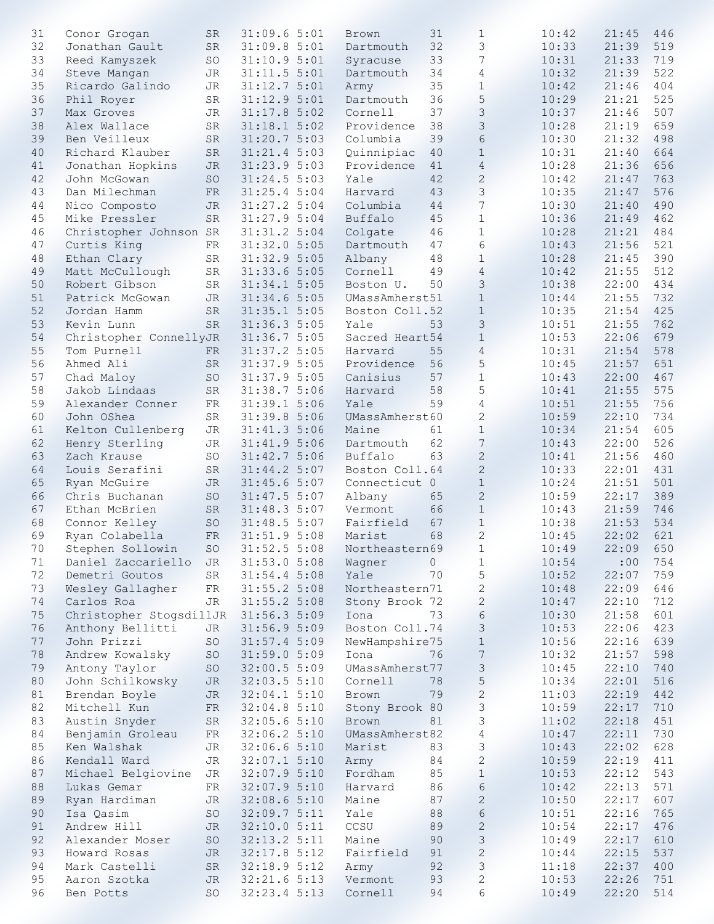| 31 | Conor Grogan            | <b>SR</b>   | 31:09.65:01  | Brown                       | 31      | $\mathbf{1}$     | 10:42 | 21:45       | 446 |
|----|-------------------------|-------------|--------------|-----------------------------|---------|------------------|-------|-------------|-----|
| 32 | Jonathan Gault          | SR          | 31:09.85:01  | Dartmouth                   | 32      | 3                | 10:33 | 21:39       | 519 |
| 33 | Reed Kamyszek           | SO          | 31:10.95:01  | Syracuse                    | 33      | $7\phantom{.0}$  | 10:31 | 21:33       | 719 |
| 34 | Steve Mangan            | JR          | 31:11.5 5:01 | Dartmouth                   | 34      | 4                | 10:32 | 21:39       | 522 |
| 35 |                         | <b>JR</b>   | 31:12.75:01  |                             | 35      | $\mathbf{1}$     | 10:42 | 21:46       | 404 |
|    | Ricardo Galindo         |             |              | Army                        |         |                  |       |             |     |
| 36 | Phil Royer              | SR          | 31:12.9 5:01 | Dartmouth                   | 36      | 5                | 10:29 | 21:21       | 525 |
| 37 | Max Groves              | JR          | 31:17.85:02  | Cornell                     | 37      | 3                | 10:37 | 21:46       | 507 |
| 38 | Alex Wallace            | <b>SR</b>   | 31:18.1 5:02 | Providence                  | 38      | 3                | 10:28 | 21:19       | 659 |
| 39 | Ben Veilleux            | ${\rm SR}$  | 31:20.7 5:03 | Columbia                    | 39      | 6                | 10:30 | 21:32       | 498 |
| 40 | Richard Klauber         | ${\rm SR}$  | 31:21.4 5:03 | Quinnipiac                  | 40      | $\mathbf{1}$     | 10:31 | 21:40       | 664 |
| 41 | Jonathan Hopkins        | <b>JR</b>   | 31:23.9 5:03 | Providence                  | 41      | $\overline{4}$   | 10:28 | 21:36       | 656 |
| 42 | John McGowan            | SO          | 31:24.5 5:03 | Yale                        | 42      | $\mathbf{2}$     | 10:42 | 21:47       | 763 |
| 43 |                         |             |              |                             | 43      | 3                |       | 21:47       | 576 |
|    | Dan Milechman           | <b>FR</b>   | 31:25.4 5:04 | Harvard                     |         |                  | 10:35 |             |     |
| 44 | Nico Composto           | <b>JR</b>   | 31:27.2 5:04 | Columbia                    | 44      | 7                | 10:30 | 21:40       | 490 |
| 45 | Mike Pressler           | SR          | 31:27.9 5:04 | Buffalo                     | 45      | $\mathbf{1}$     | 10:36 | 21:49       | 462 |
| 46 | Christopher Johnson SR  |             | 31:31.2 5:04 | Colgate                     | 46      | $\mathbf{1}$     | 10:28 | 21:21       | 484 |
| 47 | Curtis King             | ${\rm FR}$  | 31:32.0 5:05 | Dartmouth                   | 47      | 6                | 10:43 | 21:56       | 521 |
| 48 | Ethan Clary             | $\rm SR$    | 31:32.9 5:05 | Albany                      | 48      | $\mathbf{1}$     | 10:28 | 21:45       | 390 |
| 49 | Matt McCullough         | $\rm SR$    | 31:33.6 5:05 | Cornell                     | 49      | $\overline{4}$   | 10:42 | 21:55       | 512 |
| 50 | Robert Gibson           | <b>SR</b>   | 31:34.15:05  | Boston U.                   | 50      | 3                | 10:38 | 22:00       | 434 |
|    |                         |             |              |                             |         |                  |       |             |     |
| 51 | Patrick McGowan         | JR          | 31:34.65:05  | UMassAmherst51              |         | $\mathbf 1$      | 10:44 | 21:55       | 732 |
| 52 | Jordan Hamm             | <b>SR</b>   | 31:35.15:05  | Boston Coll.52              |         | $\mathbf{1}$     | 10:35 | 21:54       | 425 |
| 53 | Kevin Lunn              | SR          | 31:36.35:05  | Yale                        | 53      | 3                | 10:51 | 21:55       | 762 |
| 54 | Christopher ConnellyJR  |             | 31:36.75:05  | Sacred Heart54              |         | $\mathbf{1}$     | 10:53 | 22:06       | 679 |
| 55 | Tom Purnell             | FR          | 31:37.2 5:05 | Harvard                     | 55      | $\overline{4}$   | 10:31 | 21:54       | 578 |
| 56 | Ahmed Ali               | ${\rm SR}$  | 31:37.9 5:05 | Providence                  | 56      | 5                | 10:45 | 21:57       | 651 |
| 57 | Chad Maloy              | SO          | 31:37.9 5:05 | Canisius                    | 57      | $\mathbf{1}$     | 10:43 | 22:00       | 467 |
|    |                         |             |              |                             |         |                  |       |             |     |
| 58 | Jakob Lindaas           | ${\rm SR}$  | 31:38.7 5:06 | Harvard                     | 58      | 5                | 10:41 | 21:55       | 575 |
| 59 | Alexander Conner        | ${\rm FR}$  | 31:39.15:06  | Yale                        | 59      | 4                | 10:51 | 21:55       | 756 |
| 60 | John OShea              | $_{\rm SR}$ | 31:39.8 5:06 | UMassAmherst60              |         | $\mathbf{2}$     | 10:59 | 22:10       | 734 |
| 61 | Kelton Cullenberg       | JR          | 31:41.3 5:06 | Maine                       | 61      | $\mathbf 1$      | 10:34 | 21:54       | 605 |
| 62 | Henry Sterling          | <b>JR</b>   | 31:41.9 5:06 | Dartmouth                   | 62      | 7                | 10:43 | 22:00       | 526 |
| 63 | Zach Krause             | <b>SO</b>   | 31:42.75:06  | Buffalo                     | 63      | $\overline{c}$   | 10:41 | 21:56       | 460 |
| 64 | Louis Serafini          | ${\rm SR}$  | 31:44.2 5:07 | Boston Coll.64              |         | $\mathbf{2}$     | 10:33 | 22:01       | 431 |
| 65 | Ryan McGuire            | JR          | 31:45.65:07  | Connecticut 0               |         | $\mathbf 1$      | 10:24 | 21:51       | 501 |
|    |                         |             |              |                             |         |                  |       |             |     |
| 66 | Chris Buchanan          | SO          | 31:47.5 5:07 | Albany                      | 65      | $\sqrt{2}$       | 10:59 | 22:17       | 389 |
| 67 | Ethan McBrien           | SR          | 31:48.35:07  | Vermont                     | 66      | $\mathbf{1}$     | 10:43 | 21:59       | 746 |
| 68 | Connor Kelley           | SO          | 31:48.55:07  | Fairfield                   | 67      | $\mathbf{1}$     | 10:38 | 21:53       | 534 |
| 69 | Ryan Colabella          | ${\rm FR}$  | 31:51.9 5:08 | Marist                      | 68      | $\overline{c}$   | 10:45 | 22:02       | 621 |
| 70 | Stephen Sollowin SO     |             |              | 31:52.5 5:08 Northeastern69 |         | $\mathbf{1}$     | 10:49 | $22:09$ 650 |     |
| 71 | Daniel Zaccariello      | <b>JR</b>   | 31:53.0 5:08 | Wagner                      | $\circ$ | $1\,$            | 10:54 | :00         | 754 |
| 72 | Demetri Goutos          | SR          | 31:54.4 5:08 | Yale                        | 70      | 5                | 10:52 | 22:07       | 759 |
| 73 | Wesley Gallagher        | FR          | 31:55.2 5:08 | Northeastern71              |         | $\mathbf{2}$     | 10:48 | 22:09       | 646 |
| 74 | Carlos Roa              | <b>JR</b>   | 31:55.2 5:08 | Stony Brook 72              |         |                  |       |             | 712 |
|    |                         |             |              |                             |         | $\mathbf{2}$     | 10:47 | 22:10       |     |
| 75 | Christopher StogsdillJR |             | 31:56.35:09  | Iona                        | 73      | 6                | 10:30 | 21:58       | 601 |
| 76 | Anthony Bellitti        | JR          | 31:56.95:09  | Boston Coll.74              |         | 3                | 10:53 | 22:06       | 423 |
| 77 | John Prizzi             | SO          | 31:57.45:09  | NewHampshire75              |         | $\,1\,$          | 10:56 | 22:16       | 639 |
| 78 | Andrew Kowalsky         | SO          | 31:59.05:09  | Iona                        | 76      | $\boldsymbol{7}$ | 10:32 | 21:57       | 598 |
| 79 | Antony Taylor           | SO          | 32:00.5 5:09 | UMassAmherst77              |         | $\mathsf S$      | 10:45 | 22:10       | 740 |
| 80 | John Schilkowsky        | JR          | 32:03.5 5:10 | Cornell                     | 78      | 5                | 10:34 | 22:01       | 516 |
| 81 | Brendan Boyle           | <b>JR</b>   | 32:04.1 5:10 | Brown                       | 79      | $\mathbf{2}$     | 11:03 | 22:19       | 442 |
| 82 |                         |             | 32:04.8 5:10 |                             |         |                  | 10:59 | 22:17       | 710 |
|    | Mitchell Kun            | ${\rm FR}$  |              | Stony Brook 80              |         | 3                |       |             |     |
| 83 | Austin Snyder           | ${\rm SR}$  | 32:05.65:10  | Brown                       | 81      | 3                | 11:02 | 22:18       | 451 |
| 84 | Benjamin Groleau        | ${\rm FR}$  | 32:06.2 5:10 | UMassAmherst82              |         | $\overline{4}$   | 10:47 | 22:11       | 730 |
| 85 | Ken Walshak             | JR          | 32:06.6 5:10 | Marist                      | 83      | 3                | 10:43 | 22:02       | 628 |
| 86 | Kendall Ward            | JR          | 32:07.15:10  | Army                        | 84      | $\overline{c}$   | 10:59 | 22:19       | 411 |
| 87 | Michael Belgiovine      | JR          | 32:07.9 5:10 | Fordham                     | 85      | $1\,$            | 10:53 | 22:12       | 543 |
| 88 | Lukas Gemar             | FR          | 32:07.9 5:10 | Harvard                     | 86      | 6                | 10:42 | 22:13       | 571 |
| 89 | Ryan Hardiman           | JR          | 32:08.6 5:10 | Maine                       | 87      | $\mathbf{2}$     | 10:50 | 22:17       | 607 |
| 90 |                         |             |              |                             | 88      |                  |       | 22:16       |     |
|    | Isa Qasim               | SO          | 32:09.75:11  | Yale                        |         | 6                | 10:51 |             | 765 |
| 91 | Andrew Hill             | JR          | 32:10.05:11  | CCSU                        | 89      | $\mathbf{2}$     | 10:54 | 22:17       | 476 |
| 92 | Alexander Moser         | SO          | 32:13.2 5:11 | Maine                       | 90      | $\mathfrak{Z}$   | 10:49 | 22:17       | 610 |
| 93 | Howard Rosas            | JR          | 32:17.85:12  | Fairfield                   | 91      | $\mathbf{2}$     | 10:44 | 22:15       | 537 |
| 94 | Mark Castelli           | ${\rm SR}$  | 32:18.95:12  | Army                        | 92      | 3                | 11:18 | 22:37       | 400 |
| 95 | Aaron Szotka            | <b>JR</b>   | 32:21.65:13  | Vermont                     | 93      | $\mathbf{2}$     | 10:53 | 22:26       | 751 |
| 96 | Ben Potts               | $\mbox{SO}$ | 32:23.4 5:13 | Cornell                     | 94      | 6                | 10:49 | 22:20       | 514 |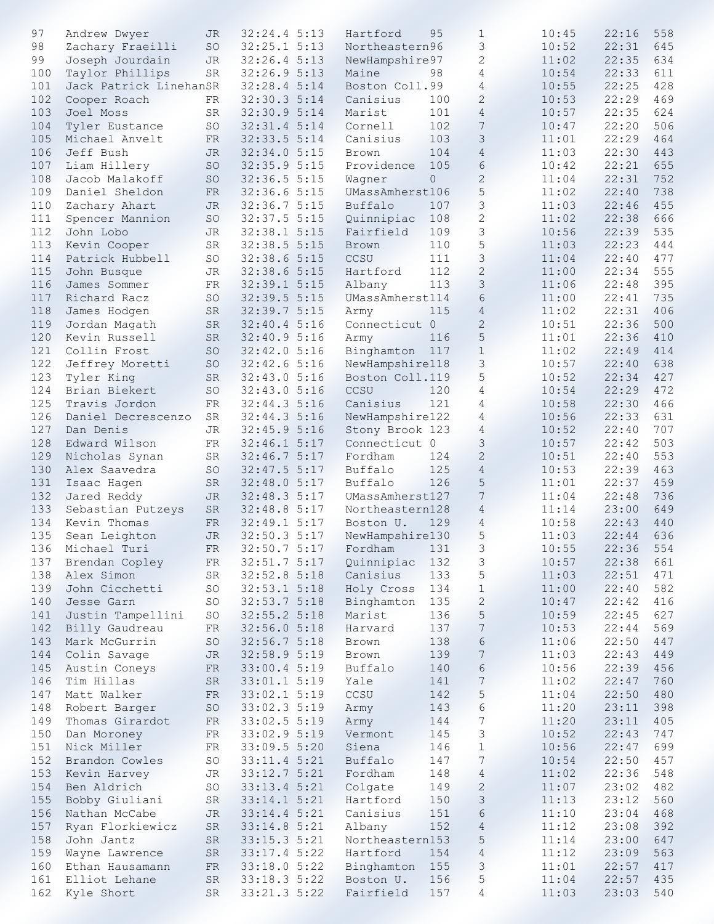| 97  | Andrew Dwyer           | JR.         | 32:24.4 5:13             | Hartford        | 95      | $\mathbf{1}$   | 10:45 | 22:16 | 558 |
|-----|------------------------|-------------|--------------------------|-----------------|---------|----------------|-------|-------|-----|
| 98  | Zachary Fraeilli       | SO          | 32:25.15:13              | Northeastern96  |         | 3              | 10:52 | 22:31 | 645 |
| 99  | Joseph Jourdain        | <b>JR</b>   | 32:26.45:13              | NewHampshire97  |         | $\mathbf{2}$   | 11:02 | 22:35 | 634 |
| 100 | Taylor Phillips        | SR          | 32:26.9 5:13             | Maine           | 98      | 4              | 10:54 | 22:33 | 611 |
|     |                        |             |                          |                 |         |                |       |       |     |
| 101 | Jack Patrick LinehanSR |             | 32:28.4 5:14             | Boston Coll.99  |         | 4              | 10:55 | 22:25 | 428 |
| 102 | Cooper Roach           | FR          | 32:30.3 5:14             | Canisius        | 100     | $\mathbf{2}$   | 10:53 | 22:29 | 469 |
| 103 | Joel Moss              | <b>SR</b>   | 32:30.9 5:14             | Marist          | 101     | $\overline{4}$ | 10:57 | 22:35 | 624 |
|     |                        |             |                          |                 |         |                |       |       |     |
| 104 | Tyler Eustance         | SO          | 32:31.4 5:14             | Cornell         | 102     | 7              | 10:47 | 22:20 | 506 |
| 105 | Michael Anvelt         | FR          | 32:33.5 5:14             | Canisius        | 103     | 3              | 11:01 | 22:29 | 464 |
| 106 | Jeff Bush              | <b>JR</b>   | 32:34.05:15              | Brown           | 104     | $\overline{4}$ | 11:03 | 22:30 | 443 |
| 107 | Liam Hillery           | SO          | 32:35.9 5:15             | Providence      | 105     | 6              | 10:42 | 22:21 | 655 |
|     |                        |             |                          |                 |         |                |       |       |     |
| 108 | Jacob Malakoff         | SO          | 32:36.5 5:15             | Wagner          | $\circ$ | $\mathbf{2}$   | 11:04 | 22:31 | 752 |
| 109 | Daniel Sheldon         | ${\rm FR}$  | 32:36.6 5:15             | UMassAmherst106 |         | 5              | 11:02 | 22:40 | 738 |
| 110 | Zachary Ahart          | <b>JR</b>   | 32:36.7 5:15             | Buffalo         | 107     | 3              | 11:03 | 22:46 | 455 |
| 111 | Spencer Mannion        | SO          | 32:37.5 5:15             | Quinnipiac      | 108     | $\mathbf{2}$   | 11:02 | 22:38 | 666 |
|     |                        |             |                          |                 |         |                |       |       |     |
| 112 | John Lobo              | JR          | 32:38.1 5:15             | Fairfield       | 109     | 3              | 10:56 | 22:39 | 535 |
| 113 | Kevin Cooper           | ${\rm SR}$  | 32:38.5 5:15             | Brown           | 110     | 5              | 11:03 | 22:23 | 444 |
| 114 | Patrick Hubbell        | SO          | 32:38.6 5:15             | CCSU            | 111     | 3              | 11:04 | 22:40 | 477 |
| 115 | John Busque            | <b>JR</b>   | 32:38.6 5:15             | Hartford        | 112     | $\mathbf{2}$   | 11:00 | 22:34 | 555 |
|     |                        |             |                          |                 |         |                |       |       |     |
| 116 | James Sommer           | FR          | 32:39.1 5:15             | Albany          | 113     | $\mathcal{S}$  | 11:06 | 22:48 | 395 |
| 117 | Richard Racz           | <b>SO</b>   | 32:39.5 5:15             | UMassAmherst114 |         | 6              | 11:00 | 22:41 | 735 |
| 118 | James Hodgen           | ${\rm SR}$  | 32:39.7 5:15             | Army            | 115     | $\overline{4}$ | 11:02 | 22:31 | 406 |
|     |                        |             |                          |                 |         |                |       |       |     |
| 119 | Jordan Magath          | SR          | 32:40.45:16              | Connecticut 0   |         | $\mathbf{2}$   | 10:51 | 22:36 | 500 |
| 120 | Kevin Russell          | ${\rm SR}$  | 32:40.9 5:16             | Army            | 116     | 5              | 11:01 | 22:36 | 410 |
| 121 | Collin Frost           | SO          | 32:42.0 5:16             | Binghamton      | 117     | $\mathbf{1}$   | 11:02 | 22:49 | 414 |
| 122 | Jeffrey Moretti        | SO          | 32:42.6 5:16             | NewHampshire118 |         | $\mathfrak{Z}$ | 10:57 | 22:40 | 638 |
|     |                        |             |                          |                 |         |                |       |       |     |
| 123 | Tyler King             | ${\rm SR}$  | 32:43.05:16              | Boston Coll.119 |         | 5              | 10:52 | 22:34 | 427 |
| 124 | Brian Biekert          | <b>SO</b>   | 32:43.0 5:16             | CCSU            | 120     | 4              | 10:54 | 22:29 | 472 |
| 125 | Travis Jordon          | ${\rm FR}$  | 32:44.3 5:16             | Canisius        | 121     | 4              | 10:58 | 22:30 | 466 |
| 126 | Daniel Decrescenzo     | $_{\rm SR}$ | 32:44.3 5:16             | NewHampshire122 |         | 4              | 10:56 | 22:33 | 631 |
|     |                        |             |                          |                 |         |                |       |       |     |
| 127 | Dan Denis              | <b>JR</b>   | 32:45.9 5:16             | Stony Brook 123 |         | 4              | 10:52 | 22:40 | 707 |
| 128 | Edward Wilson          | FR          | 32:46.1 5:17             | Connecticut 0   |         | 3              | 10:57 | 22:42 | 503 |
| 129 | Nicholas Synan         | SR          | 32:46.7 5:17             | Fordham         | 124     | 2              | 10:51 | 22:40 | 553 |
| 130 | Alex Saavedra          | <b>SO</b>   | 32:47.5 5:17             | Buffalo         | 125     | $\overline{4}$ | 10:53 | 22:39 | 463 |
|     |                        |             |                          |                 |         |                |       |       |     |
| 131 | Isaac Hagen            | ${\rm SR}$  | 32:48.05:17              | Buffalo         | 126     | 5              | 11:01 | 22:37 | 459 |
| 132 | Jared Reddy            | <b>JR</b>   | 32:48.35:17              | UMassAmherst127 |         | 7              | 11:04 | 22:48 | 736 |
| 133 | Sebastian Putzeys      | ${\rm SR}$  | 32:48.8 5:17             | Northeastern128 |         | $\overline{4}$ | 11:14 | 23:00 | 649 |
|     |                        |             |                          |                 |         | $\overline{4}$ |       |       | 440 |
| 134 | Kevin Thomas           | FR          | 32:49.15:17              | Boston U.       | 129     |                | 10:58 | 22:43 |     |
| 135 | Sean Leighton          | JR          | 32:50.3 5:17             | NewHampshire130 |         | 5              | 11:03 | 22:44 | 636 |
|     | 136 Michael Turi       | ${\rm FR}$  | 32:50.7 5:17 Fordham 131 |                 |         | $\mathfrak{Z}$ | 10:55 | 22:36 | 554 |
| 137 | Brendan Copley         | FR          | 32:51.7 5:17             | Quinnipiac      | 132     | 3              | 10:57 | 22:38 | 661 |
|     |                        |             |                          |                 |         |                |       |       |     |
| 138 | Alex Simon             | SR          | 32:52.8 5:18             | Canisius        | 133     | 5              | 11:03 | 22:51 | 471 |
| 139 | John Cicchetti         | SO          | 32:53.1 5:18             | Holy Cross      | 134     | $\mathbf{1}$   | 11:00 | 22:40 | 582 |
| 140 | Jesse Garn             | SO          | 32:53.7 5:18             | Binghamton      | 135     | $\mathbf{2}$   | 10:47 | 22:42 | 416 |
| 141 | Justin Tampellini      | SO          | 32:55.2 5:18             | Marist          | 136     | 5              | 10:59 | 22:45 | 627 |
|     |                        |             |                          |                 |         |                |       |       |     |
| 142 | Billy Gaudreau         | FR          | 32:56.0 5:18             | Harvard         | 137     | $\overline{7}$ | 10:53 | 22:44 | 569 |
| 143 | Mark McGurrin          | SO          | 32:56.7 5:18             | Brown           | 138     | 6              | 11:06 | 22:50 | 447 |
| 144 | Colin Savage           | <b>JR</b>   | 32:58.9 5:19             | Brown           | 139     | $\sqrt{ }$     | 11:03 | 22:43 | 449 |
| 145 | Austin Coneys          | ${\rm FR}$  | 33:00.4 5:19             | Buffalo         | 140     | 6              | 10:56 | 22:39 | 456 |
|     |                        |             |                          |                 |         |                |       |       |     |
| 146 | Tim Hillas             | SR          | 33:01.1 5:19             | Yale            | 141     | $\overline{7}$ | 11:02 | 22:47 | 760 |
| 147 | Matt Walker            | FR          | 33:02.1 5:19             | CCSU            | 142     | 5              | 11:04 | 22:50 | 480 |
| 148 | Robert Barger          | $\mbox{SO}$ | 33:02.3 5:19             | Army            | 143     | 6              | 11:20 | 23:11 | 398 |
| 149 | Thomas Girardot        | ${\rm FR}$  | 33:02.5 5:19             | Army            | 144     | 7              | 11:20 | 23:11 | 405 |
|     |                        |             |                          |                 |         |                |       |       |     |
| 150 | Dan Moroney            | ${\rm FR}$  | 33:02.9 5:19             | Vermont         | 145     | 3              | 10:52 | 22:43 | 747 |
| 151 | Nick Miller            | ${\rm FR}$  | 33:09.5 5:20             | Siena           | 146     | $\mathbf{1}$   | 10:56 | 22:47 | 699 |
| 152 | Brandon Cowles         | SO          | 33:11.4 5:21             | Buffalo         | 147     | 7              | 10:54 | 22:50 | 457 |
| 153 |                        |             |                          |                 | 148     |                |       | 22:36 |     |
|     | Kevin Harvey           | JR          | 33:12.7 5:21             | Fordham         |         | $\overline{4}$ | 11:02 |       | 548 |
| 154 | Ben Aldrich            | SO          | 33:13.4 5:21             | Colgate         | 149     | $\mathbf{2}$   | 11:07 | 23:02 | 482 |
| 155 | Bobby Giuliani         | SR          | 33:14.1 5:21             | Hartford        | 150     | 3              | 11:13 | 23:12 | 560 |
| 156 | Nathan McCabe          | JR          | 33:14.4 5:21             | Canisius        | 151     | 6              | 11:10 | 23:04 | 468 |
|     |                        |             |                          |                 |         |                |       |       |     |
| 157 | Ryan Florkiewicz       | <b>SR</b>   | 33:14.8 5:21             | Albany          | 152     | 4              | 11:12 | 23:08 | 392 |
| 158 | John Jantz             | ${\rm SR}$  | 33:15.35:21              | Northeastern153 |         | 5              | 11:14 | 23:00 | 647 |
| 159 | Wayne Lawrence         | SR          | 33:17.4 5:22             | Hartford        | 154     | 4              | 11:12 | 23:09 | 563 |
| 160 | Ethan Hausamann        | FR          | 33:18.0 5:22             | Binghamton      | 155     | 3              | 11:01 | 22:57 | 417 |
| 161 | Elliot Lehane          | <b>SR</b>   | 33:18.3 5:22             | Boston U.       | 156     |                | 11:04 | 22:57 | 435 |
|     |                        |             |                          |                 |         | 5              |       |       |     |
|     | 162 Kyle Short         | SR          | 33:21.3 5:22             | Fairfield       | 157     | 4              | 11:03 | 23:03 | 540 |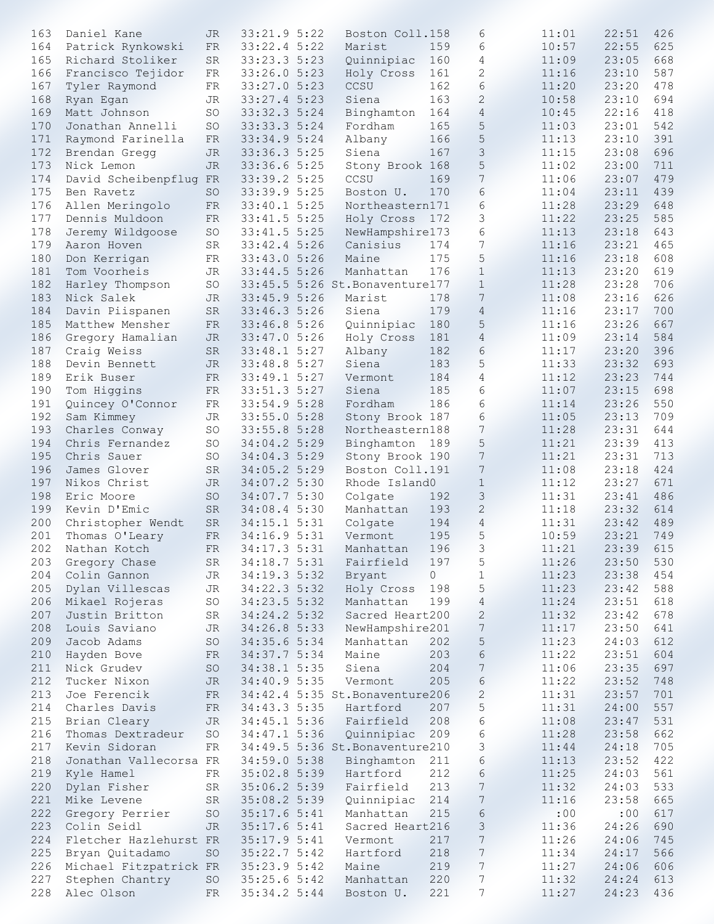| 163 | Daniel Kane            | JR.         | 33:21.95:22  | Boston Coll.158                 |         | 6                | 11:01 | 22:51 | 426 |
|-----|------------------------|-------------|--------------|---------------------------------|---------|------------------|-------|-------|-----|
| 164 | Patrick Rynkowski      | FR          | 33:22.4 5:22 | Marist                          | 159     | 6                | 10:57 | 22:55 | 625 |
| 165 | Richard Stoliker       | ${\rm SR}$  | 33:23.3 5:23 | Quinnipiac                      | 160     | 4                | 11:09 | 23:05 | 668 |
| 166 | Francisco Tejidor      | ${\rm FR}$  | 33:26.0 5:23 | Holy Cross                      | 161     | $\mathbf{2}$     | 11:16 | 23:10 | 587 |
| 167 |                        | ${\rm FR}$  | 33:27.0 5:23 | CCSU                            | 162     | 6                | 11:20 | 23:20 | 478 |
|     | Tyler Raymond          |             |              |                                 |         |                  |       |       |     |
| 168 | Ryan Egan              | <b>JR</b>   | 33:27.4 5:23 | Siena                           | 163     | $\mathbf{2}$     | 10:58 | 23:10 | 694 |
| 169 | Matt Johnson           | <b>SO</b>   | 33:32.3 5:24 | Binghamton                      | 164     | $\overline{4}$   | 10:45 | 22:16 | 418 |
| 170 | Jonathan Annelli       | <b>SO</b>   | 33:33.3 5:24 | Fordham                         | 165     | 5                | 11:03 | 23:01 | 542 |
| 171 | Raymond Farinella      | FR          | 33:34.9 5:24 | Albany                          | 166     | 5                | 11:13 | 23:10 | 391 |
| 172 | Brendan Gregg          | <b>JR</b>   | 33:36.3 5:25 | Siena                           | 167     | 3                | 11:15 | 23:08 | 696 |
| 173 | Nick Lemon             | <b>JR</b>   | 33:36.6 5:25 | Stony Brook 168                 |         | 5                | 11:02 | 23:00 | 711 |
|     | David Scheibenpflug FR |             | 33:39.2 5:25 | CCSU                            | 169     | $7\phantom{.0}$  |       | 23:07 | 479 |
| 174 |                        |             |              |                                 |         |                  | 11:06 |       |     |
| 175 | Ben Ravetz             | <b>SO</b>   | 33:39.9 5:25 | Boston U.                       | 170     | 6                | 11:04 | 23:11 | 439 |
| 176 | Allen Meringolo        | ${\rm FR}$  | 33:40.1 5:25 | Northeastern171                 |         | 6                | 11:28 | 23:29 | 648 |
| 177 | Dennis Muldoon         | ${\rm FR}$  | 33:41.5 5:25 | Holy Cross                      | 172     | 3                | 11:22 | 23:25 | 585 |
| 178 | Jeremy Wildgoose       | SO          | 33:41.5 5:25 | NewHampshire173                 |         | 6                | 11:13 | 23:18 | 643 |
| 179 | Aaron Hoven            | $_{\rm SR}$ | 33:42.45:26  | Canisius                        | 174     | 7                | 11:16 | 23:21 | 465 |
| 180 | Don Kerrigan           | FR          | 33:43.0 5:26 | Maine                           | 175     | 5                | 11:16 | 23:18 | 608 |
| 181 | Tom Voorheis           | JR          | 33:44.5 5:26 | Manhattan                       | 176     | $\mathbf{1}$     | 11:13 | 23:20 | 619 |
|     |                        |             |              |                                 |         |                  |       |       |     |
| 182 | Harley Thompson        | <b>SO</b>   |              | 33:45.5 5:26 St. Bonaventure177 |         | $\mathbf{1}$     | 11:28 | 23:28 | 706 |
| 183 | Nick Salek             | JR          | 33:45.9 5:26 | Marist                          | 178     | 7                | 11:08 | 23:16 | 626 |
| 184 | Davin Piispanen        | ${\rm SR}$  | 33:46.3 5:26 | Siena                           | 179     | $\overline{4}$   | 11:16 | 23:17 | 700 |
| 185 | Matthew Mensher        | FR          | 33:46.8 5:26 | Quinnipiac                      | 180     | 5                | 11:16 | 23:26 | 667 |
| 186 | Gregory Hamalian       | <b>JR</b>   | 33:47.0 5:26 | Holy Cross                      | 181     | $\overline{4}$   | 11:09 | 23:14 | 584 |
| 187 | Craig Weiss            | ${\rm SR}$  | 33:48.1 5:27 | Albany                          | 182     | 6                | 11:17 | 23:20 | 396 |
| 188 | Devin Bennett          | JR          | 33:48.8 5:27 | Siena                           | 183     | 5                | 11:33 | 23:32 | 693 |
|     |                        |             |              |                                 |         |                  |       |       |     |
| 189 | Erik Buser             | ${\rm FR}$  | 33:49.1 5:27 | Vermont                         | 184     | 4                | 11:12 | 23:23 | 744 |
| 190 | Tom Higgins            | ${\rm FR}$  | 33:51.3 5:27 | Siena                           | 185     | 6                | 11:07 | 23:15 | 698 |
| 191 | Quincey O'Connor       | ${\rm FR}$  | 33:54.9 5:28 | Fordham                         | 186     | 6                | 11:14 | 23:26 | 550 |
| 192 | Sam Kimmey             | JR          | 33:55.0 5:28 | Stony Brook 187                 |         | 6                | 11:05 | 23:13 | 709 |
| 193 | Charles Conway         | SO          | 33:55.8 5:28 | Northeastern188                 |         | $\overline{7}$   | 11:28 | 23:31 | 644 |
| 194 | Chris Fernandez        | SO          | 34:04.2 5:29 | Binghamton 189                  |         | 5                | 11:21 | 23:39 | 413 |
| 195 | Chris Sauer            |             | 34:04.3 5:29 |                                 |         | 7                | 11:21 | 23:31 | 713 |
|     |                        | SO          |              | Stony Brook 190                 |         |                  |       |       |     |
| 196 | James Glover           | <b>SR</b>   | 34:05.2 5:29 | Boston Coll.191                 |         | $\overline{7}$   | 11:08 | 23:18 | 424 |
| 197 | Nikos Christ           | JR          | 34:07.2 5:30 | Rhode Island0                   |         | $\mathbf{1}$     | 11:12 | 23:27 | 671 |
| 198 | Eric Moore             | SO          | 34:07.7 5:30 | Colgate                         | 192     | 3                | 11:31 | 23:41 | 486 |
| 199 | Kevin D'Emic           | ${\rm SR}$  | 34:08.4 5:30 | Manhattan                       | 193     | 2                | 11:18 | 23:32 | 614 |
| 200 | Christopher Wendt      | ${\rm SR}$  | 34:15.15:31  | Colgate                         | 194     | $\overline{4}$   | 11:31 | 23:42 | 489 |
| 201 | Thomas O'Leary         | ${\rm FR}$  | 34:16.9 5:31 | Vermont                         | 195     | 5                | 10:59 | 23:21 | 749 |
|     | 202 Nathan Kotch       | ${\rm FR}$  | 34:17.3 5:31 | Manhattan                       | 196     | $\mathsf 3$      | 11:21 | 23:39 | 615 |
|     |                        |             |              |                                 |         |                  |       |       |     |
| 203 | Gregory Chase          | <b>SR</b>   | 34:18.7 5:31 | Fairfield                       | 197     | 5                | 11:26 | 23:50 | 530 |
| 204 | Colin Gannon           | JR          | 34:19.3 5:32 | Bryant                          | $\circ$ | $\mathbf{1}$     | 11:23 | 23:38 | 454 |
| 205 | Dylan Villescas        | JR          | 34:22.3 5:32 | Holy Cross                      | 198     | 5                | 11:23 | 23:42 | 588 |
| 206 | Mikael Rojeras         | SO          | 34:23.5 5:32 | Manhattan                       | 199     | $\overline{4}$   | 11:24 | 23:51 | 618 |
| 207 | Justin Britton         | SR          | 34:24.2 5:32 | Sacred Heart200                 |         | $\mathbf{2}$     | 11:32 | 23:42 | 678 |
| 208 | Louis Saviano          | JR          | 34:26.8 5:33 | NewHampshire201                 |         | 7                | 11:17 | 23:50 | 641 |
| 209 | Jacob Adams            | SO          | 34:35.6 5:34 | Manhattan                       | 202     | 5                | 11:23 | 24:03 | 612 |
|     |                        |             |              |                                 |         |                  |       |       |     |
| 210 | Hayden Bove            | ${\rm FR}$  | 34:37.7 5:34 | Maine                           | 203     | 6                | 11:22 | 23:51 | 604 |
| 211 | Nick Grudev            | SO          | 34:38.1 5:35 | Siena                           | 204     | $\sqrt{ }$       | 11:06 | 23:35 | 697 |
| 212 | Tucker Nixon           | <b>JR</b>   | 34:40.9 5:35 | Vermont                         | 205     | 6                | 11:22 | 23:52 | 748 |
| 213 | Joe Ferencik           | FR          |              | 34:42.4 5:35 St. Bonaventure206 |         | $\mathbf{2}$     | 11:31 | 23:57 | 701 |
| 214 | Charles Davis          | FR          | 34:43.3 5:35 | Hartford                        | 207     | 5                | 11:31 | 24:00 | 557 |
| 215 | Brian Cleary           | <b>JR</b>   | 34:45.1 5:36 | Fairfield                       | 208     | 6                | 11:08 | 23:47 | 531 |
| 216 | Thomas Dextradeur      | SO          | 34:47.1 5:36 | Quinnipiac                      | 209     | 6                | 11:28 | 23:58 | 662 |
|     | Kevin Sidoran          |             |              |                                 |         |                  |       |       |     |
| 217 |                        | ${\rm FR}$  |              | 34:49.5 5:36 St. Bonaventure210 |         | 3                | 11:44 | 24:18 | 705 |
| 218 | Jonathan Vallecorsa FR |             | 34:59.0 5:38 | Binghamton                      | 211     | 6                | 11:13 | 23:52 | 422 |
| 219 | Kyle Hamel             | FR          | 35:02.8 5:39 | Hartford                        | 212     | 6                | 11:25 | 24:03 | 561 |
| 220 | Dylan Fisher           | SR          | 35:06.2 5:39 | Fairfield                       | 213     | 7                | 11:32 | 24:03 | 533 |
| 221 | Mike Levene            | SR          | 35:08.2 5:39 | Quinnipiac                      | 214     | 7                | 11:16 | 23:58 | 665 |
| 222 | Gregory Perrier        | SO          | 35:17.65:11  | Manhattan                       | 215     | 6                | : 00  | :00   | 617 |
| 223 | Colin Seidl            | <b>JR</b>   | 35:17.65:11  | Sacred Heart216                 |         | 3                | 11:36 | 24:26 | 690 |
| 224 | Fletcher Hazlehurst FR |             | 35:17.95:11  | Vermont                         | 217     | $\sqrt{ }$       | 11:26 | 24:06 | 745 |
|     |                        |             |              |                                 | 218     | $\overline{7}$   |       | 24:17 |     |
| 225 | Bryan Quitadamo        | SO          | 35:22.75:22  | Hartford                        |         |                  | 11:34 |       | 566 |
| 226 | Michael Fitzpatrick FR |             | 35:23.95:22  | Maine                           | 219     | $\boldsymbol{7}$ | 11:27 | 24:06 | 606 |
| 227 | Stephen Chantry        | SO.         | 35:25.65:32  | Manhattan                       | 220     | 7                | 11:32 | 24:24 | 613 |
| 228 | Alec Olson             | ${\rm FR}$  | 35:34.2 5:44 | Boston U.                       | 221     | 7                | 11:27 | 24:23 | 436 |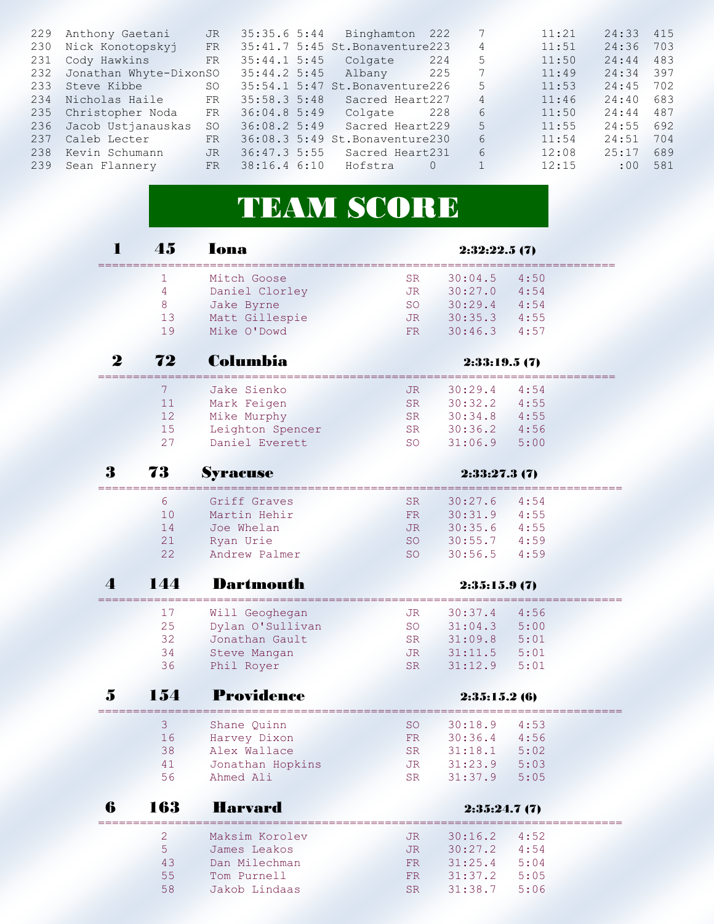| 229 | Anthony Gaetani        | JR.       | 35:35.65:344 | Binghamton                      | 222      | 7              | 11:21 | 24:33 | 415 |
|-----|------------------------|-----------|--------------|---------------------------------|----------|----------------|-------|-------|-----|
| 230 | Nick Konotopskyj       | <b>FR</b> |              | 35:41.7 5:45 St. Bonaventure223 |          | $\overline{4}$ | 11:51 | 24:36 | 703 |
| 231 | Cody Hawkins           | <b>FR</b> | 35:44.15:35  | Colgate                         | 224      | 5              | 11:50 | 24:44 | 483 |
| 232 | Jonathan Whyte-DixonSO |           | 35:44.25:35  | Albany                          | 225      | 7              | 11:49 | 24:34 | 397 |
| 233 | Steve Kibbe            | SO.       |              | 35:54.1 5:47 St. Bonaventure226 |          | 5              | 11:53 | 24:45 | 702 |
| 234 | Nicholas Haile         | FR        | 35:58.35:38  | Sacred Heart227                 |          | 4              | 11:46 | 24:40 | 683 |
| 235 | Christopher Noda       | FR        | 36:04.85::49 | Colgate                         | 228      | 6              | 11:50 | 24:44 | 487 |
| 236 | Jacob Ustjanauskas     | SO.       | 36:08.25:39  | Sacred Heart229                 |          | 5              | 11:55 | 24:55 | 692 |
| 237 | Caleb Lecter           | <b>FR</b> |              | 36:08.3 5:49 St. Bonaventure230 |          | 6              | 11:54 | 24:51 | 704 |
| 238 | Kevin Schumann         | <b>JR</b> | 36:47.35:55  | Sacred Heart231                 |          | 6              | 12:08 | 25:17 | 689 |
| 239 | Sean Flannery          | <b>FR</b> | 38:16.46:10  | Hofstra                         | $\Omega$ | $\mathbf{1}$   | 12:15 | :00   | 581 |
|     |                        |           |              |                                 |          |                |       |       |     |

## **TEAM SCORE**

|            | 45             | lona             |           | 2:32:22.5(7) |      |  |  |  |
|------------|----------------|------------------|-----------|--------------|------|--|--|--|
|            | 1              | Mitch Goose      | SR        | 30:04.5      | 4:50 |  |  |  |
|            | 4              | Daniel Clorley   | JR        | 30:27.0      | 4:54 |  |  |  |
|            | 8              | Jake Byrne       | <b>SO</b> | 30:29.4      | 4:54 |  |  |  |
|            | 13             | Matt Gillespie   | JR        | 30:35.3      | 4:55 |  |  |  |
|            | 19             | Mike O'Dowd      | FR.       | 30:46.3      | 4:57 |  |  |  |
| 2          | 72             | Columbia         |           | 2:33:19.5(7) |      |  |  |  |
|            | 7              | Jake Sienko      | JR        | 30:29.4      | 4:54 |  |  |  |
|            | 11             | Mark Feigen      | <b>SR</b> | 30:32.2      | 4:55 |  |  |  |
|            | 12             | Mike Murphy      | <b>SR</b> | 30:34.8      | 4:55 |  |  |  |
|            | 15             | Leighton Spencer | SR        | 30:36.2      | 4:56 |  |  |  |
|            | 27             | Daniel Everett   | <b>SO</b> | 31:06.9      | 5:00 |  |  |  |
| 3          | 73             | Syracuse         |           | 2:33:27.3(7) |      |  |  |  |
|            | 6              | Griff Graves     | <b>SR</b> | 30:27.6      | 4:54 |  |  |  |
|            | 10             | Martin Hehir     | FR        | 30:31.9      | 4:55 |  |  |  |
|            | 14             | Joe Whelan       | JR        | 30:35.6      | 4:55 |  |  |  |
|            | 21             | Ryan Urie        | SO        | 30:55.7      | 4:59 |  |  |  |
|            | 22             | Andrew Palmer    | <b>SO</b> | 30:56.5      | 4:59 |  |  |  |
| $\sqrt{2}$ | 144            | Dartmouth        |           | 2:35:15.9(7) |      |  |  |  |
|            | 17             | Will Geoghegan   | JR.       | 30:37.4      | 4:56 |  |  |  |
|            | 25             | Dylan O'Sullivan | <b>SO</b> | 31:04.3      | 5:00 |  |  |  |
|            | 32             | Jonathan Gault   | SR        | 31:09.8      | 5:01 |  |  |  |
|            | 34             | Steve Mangan     | JR.       | 31:11.5      | 5:01 |  |  |  |
|            | 36             | Phil Royer       | SR.       | 31:12.9      | 5:01 |  |  |  |
| 5          | 154            | Providence       |           | 2:35:15.2(6) |      |  |  |  |
|            | 3              | Shane Quinn      | <b>SO</b> | 30:18.9      | 4:53 |  |  |  |
|            | 16             | Harvey Dixon     | FR        | 30:36.4      | 4:56 |  |  |  |
|            | 38             | Alex Wallace     | <b>SR</b> | 31:18.1      | 5:02 |  |  |  |
|            | 41             | Jonathan Hopkins | JR        | 31:23.9      | 5:03 |  |  |  |
|            | 56             | Ahmed Ali        | <b>SR</b> | 31:37.9      | 5:05 |  |  |  |
| 6          | 163            | <b>Harvard</b>   |           | 2:35:24.7(7) |      |  |  |  |
|            | $\overline{2}$ | Maksim Korolev   | JR        | 30:16.2      | 4:52 |  |  |  |
|            |                |                  |           |              |      |  |  |  |
|            | 5              | James Leakos     | <b>JR</b> | 30:27.2      | 4:54 |  |  |  |

 55 Tom Purnell FR 31:37.2 5:05 58 Jakob Lindaas SR 31:38.7 5:06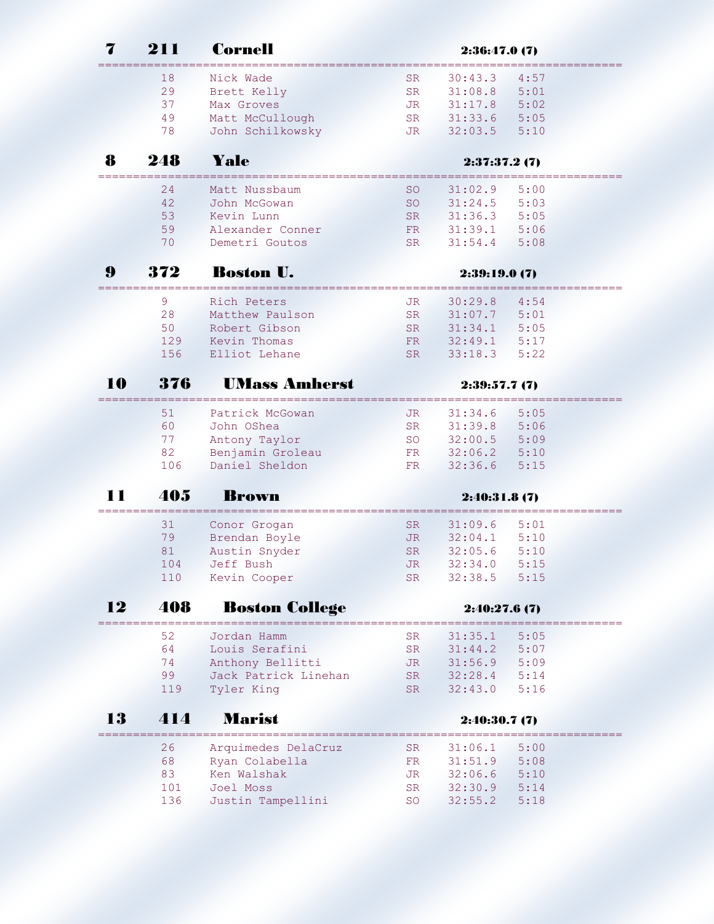|    | 211             | Cornell                  | 2:36:47.0(7)    |                    |              |  |  |  |
|----|-----------------|--------------------------|-----------------|--------------------|--------------|--|--|--|
|    | 18              | Nick Wade                | <b>SR</b>       | 30:43.3            | 4:57         |  |  |  |
|    | 29              | Brett Kelly              | <b>SR</b>       | 31:08.8            | 5:01         |  |  |  |
|    | 37              | Max Groves               | JR              | 31:17.8            | 5:02         |  |  |  |
|    | 49              | Matt McCullough          | SR              | 31:33.6            | 5:05         |  |  |  |
|    | 78              | John Schilkowsky         | JR.             | 32:03.5            | 5:10         |  |  |  |
| 8  | 248             | Yale                     |                 | 2:37:37.2(7)       |              |  |  |  |
|    | ---------<br>24 | Matt Nussbaum            | SO              | 31:02.9            | 5:00         |  |  |  |
|    | 42              | John McGowan             | <b>SO</b>       | 31:24.5            | 5:03         |  |  |  |
|    | 53              | Kevin Lunn               | SR.             | 31:36.3            | 5:05         |  |  |  |
|    | 59              | Alexander Conner         | FR              | 31:39.1            | 5:06         |  |  |  |
|    | 70              | Demetri Goutos           | SR.             | 31:54.4            | 5:08         |  |  |  |
| 9  | 372             | <b>Boston U.</b>         |                 | 2:39:19.0(7)       |              |  |  |  |
|    | 9               | Rich Peters              | JR              | 30:29.8            | 4:54         |  |  |  |
|    | 28              | Matthew Paulson          | SR.             | 31:07.7            | 5:01         |  |  |  |
|    | 50              | Robert Gibson            | SR.             | 31:34.1            | 5:05         |  |  |  |
|    | 129             | Kevin Thomas             | FR              | 32:49.1            | 5:17         |  |  |  |
|    | 156             | Elliot Lehane            | SR.             | 33:18.3            | 5:22         |  |  |  |
| 10 | 376             | <b>UMass Amherst</b>     |                 | 2:39:57.7(7)       |              |  |  |  |
|    | 51              | Patrick McGowan          | JR              | 31:34.6            | 5:05         |  |  |  |
|    | 60              | John OShea               | SR.             | 31:39.8            | 5:06         |  |  |  |
|    | 77              | Antony Taylor            | SO              | 32:00.5            | 5:09         |  |  |  |
|    | 82              | Benjamin Groleau         | FR              | 32:06.2            | 5:10         |  |  |  |
|    | 106             | Daniel Sheldon           | FR              | 32:36.6            | 5:15         |  |  |  |
|    | 405             | <b>Krown</b>             |                 | 2:40:31.8(7)       |              |  |  |  |
|    | 31              | Conor Grogan             | SR              | 31:09.6            | 5:01         |  |  |  |
|    | 79              | Brendan Boyle            | JR              | 32:04.1            | 5:10         |  |  |  |
|    | 81              | Austin Snyder            | <b>SR</b>       | 32:05.6            | 5:10         |  |  |  |
|    | 104             | Jeff Bush                | JR              | 32:34.0            | 5:15         |  |  |  |
|    | 110             | Kevin Cooper             | SR              | 32:38.5            | 5:15         |  |  |  |
| 12 | 408             | <b>Boston College</b>    |                 | 2:40:27.6(7)       |              |  |  |  |
|    | 52              | Jordan Hamm              | SR              | 31:35.1            | 5:05         |  |  |  |
|    | 64              | Louis Serafini           | <b>SR</b>       | 31:44.2            | 5:07         |  |  |  |
|    | 74              | Anthony Bellitti         | JR              | 31:56.9            | 5:09         |  |  |  |
|    | 99              | Jack Patrick Linehan     | SR              | 32:28.4            | 5:14         |  |  |  |
|    | 119             | Tyler King               | SR.             | 32:43.0            | 5:16         |  |  |  |
|    |                 |                          |                 |                    |              |  |  |  |
| 13 | 414             | <b>Marist</b>            |                 | 2:40:30.7(7)       |              |  |  |  |
|    |                 |                          |                 |                    |              |  |  |  |
|    | 26              | Arquimedes DelaCruz      | SR              | 31:06.1            | 5:00         |  |  |  |
|    | 68              | Ryan Colabella           | FR              | 31:51.9            | 5:08         |  |  |  |
|    | 83<br>101       | Ken Walshak<br>Joel Moss | JR<br><b>SR</b> | 32:06.6<br>32:30.9 | 5:10<br>5:14 |  |  |  |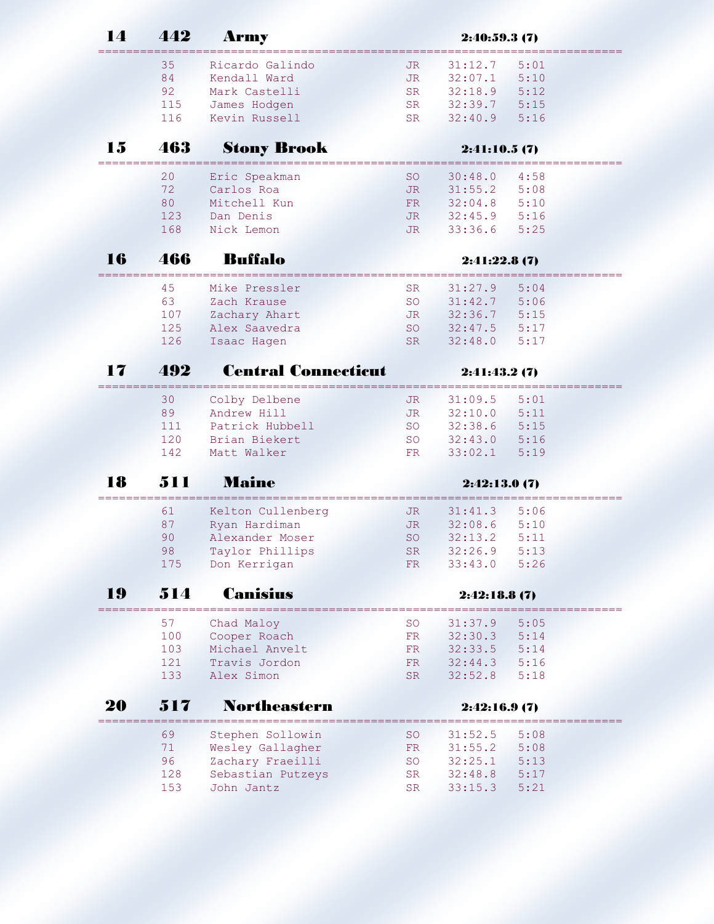| $\blacksquare$ | 442 | <b>Army</b>                           |           | 2:40:59.3(7) |            |
|----------------|-----|---------------------------------------|-----------|--------------|------------|
|                | 35  | Ricardo Galindo                       | JR.       | 31:12.7      | 5:01       |
|                | 84  | Kendall Ward                          | JR.       | 32:07.1      | 5:10       |
|                | 92  | Mark Castelli                         | <b>SR</b> | 32:18.9      | 5:12       |
|                | 115 | James Hodgen                          | <b>SR</b> | 32:39.7      | 5:15       |
|                | 116 | Kevin Russell                         | <b>SR</b> | 32:40.9      | 5:16       |
| 15             | 463 | <b>Stony Brook</b>                    |           | 2:41:10.5(7) |            |
|                | 20  | Eric Speakman                         | <b>SO</b> | 30:48.0      | 4:58       |
|                | 72  | Carlos Roa                            | JR.       | 31:55.2      | 5:08       |
|                | 80  | Mitchell Kun                          | FR        | 32:04.8      | 5:10       |
|                | 123 | Dan Denis                             | JR        | 32:45.9      | 5:16       |
|                | 168 | Nick Lemon                            | JR.       | 33:36.6      | 5:25       |
| 16             | 466 | <b>Buffalo</b>                        |           | 2:41:22.8(7) |            |
|                | 45  | Mike Pressler                         | SR.       | 31:27.9      | 5:04       |
|                | 63  | Zach Krause                           | <b>SO</b> | 31:42.7      | 5:06       |
|                | 107 | Zachary Ahart                         | JR        | 32:36.7      | 5:15       |
|                | 125 | Alex Saavedra                         | <b>SO</b> | 32:47.5      | 5:17       |
|                | 126 | Isaac Hagen                           | <b>SR</b> | 32:48.0      | 5:17       |
|                |     |                                       |           |              |            |
| 17             | 492 | <b>Central Connecticut</b>            |           | 2:41:43.2(7) |            |
|                | 30  | Colby Delbene                         | JR        | 31:09.5      | 5:01       |
|                | 89  | Andrew Hill                           | <b>JR</b> | 32:10.0      | 5:11       |
|                | 111 | Patrick Hubbell                       | SO        | 32:38.6      | 5:15       |
|                | 120 | Brian Biekert                         | <b>SO</b> | 32:43.0      | 5:16       |
|                | 142 | Matt Walker                           | FR.       | 33:02.1      | 5:19       |
| 18             | 511 | <b>Maine</b>                          |           | 2:42:13.0(7) |            |
|                | 61  | Kelton Cullenberg                     | JR        | 31:41.3      | 5:06       |
|                | 87  | Ryan Hardiman                         | JR        | 32:08.6      | 5:10       |
|                | 90  | Alexander Moser                       | <b>SO</b> | 32:13.2      | 5:11       |
|                | 98  | Taylor Phillips                       | SR        | 32:26.9      | 5:13       |
|                | 175 | Don Kerrigan                          | FR        | 33:43.0      | 5:26       |
| 19             | 514 | <b>Canisius</b>                       |           | 2:42:18.8(7) |            |
|                |     |                                       |           |              |            |
|                |     |                                       |           |              |            |
|                | 57  | Chad Maloy                            | SO        | 31:37.9      | 5:05       |
|                | 100 | Cooper Roach                          | FR        | 32:30.3      | 5:14       |
|                | 103 | Michael Anvelt                        | FR        | 32:33.5      | 5:14       |
|                | 121 | Travis Jordon                         | FR        | 32:44.3      | 5:16       |
|                | 133 | Alex Simon                            | SR.       | 32:52.8      | 5:18       |
|                | 517 | <b>Northeastern</b>                   |           | 2:42:16.9(7) |            |
|                | 69  | Stephen Sollowin                      | SO        | 31:52.5      | 5:08       |
|                | 71  |                                       | FR        | 31:55.2      | 5:08       |
|                | 96  | Wesley Gallagher                      |           | 32:25.1      | ×,<br>5:13 |
| 20             | 128 | Zachary Fraeilli<br>Sebastian Putzeys | SO<br>SR  | 32:48.8      | 5:17       |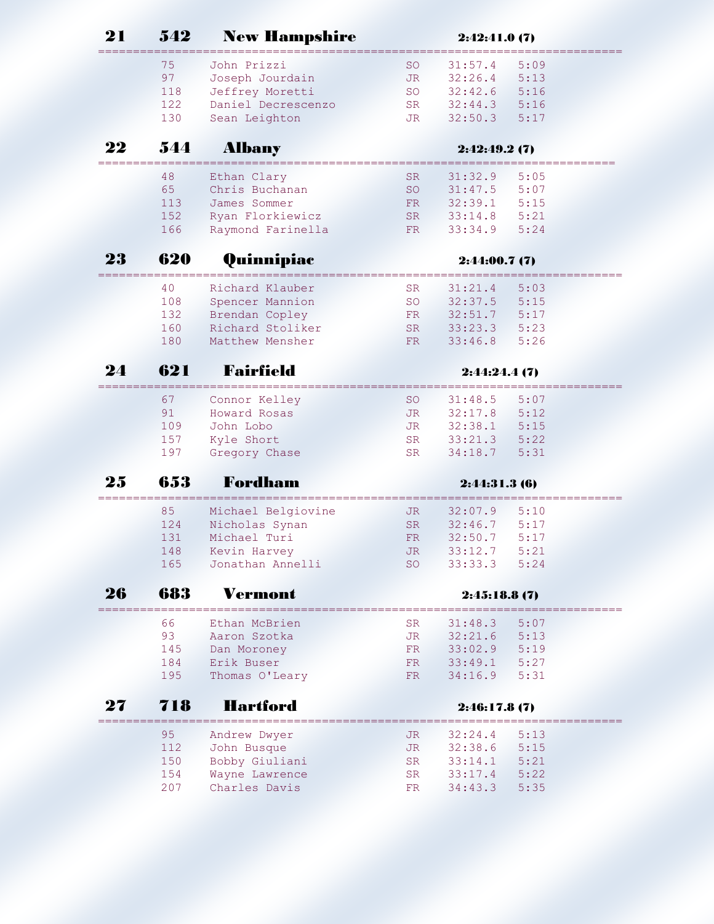| 21 | 542        | <b>New Hampshire</b>             |           | 2:42:41.0(7)       |                            |
|----|------------|----------------------------------|-----------|--------------------|----------------------------|
|    | 75         | John Prizzi                      | SO.       | 31:57.4            | 5:09                       |
|    | 97         | Joseph Jourdain                  | JR        | 32:26.4            | 5:13                       |
|    | 118        | Jeffrey Moretti                  | <b>SO</b> | 32:42.6            | 5:16                       |
|    | 122        | Daniel Decrescenzo               | SR        | 32:44.3            | 5:16                       |
|    | 130        | Sean Leighton                    | JR        | 32:50.3            | 5:17                       |
| 22 | 544        | <b>Albany</b>                    |           | 2:42:49.2(7)       |                            |
|    | 48         | Ethan Clary                      | <b>SR</b> | 31:32.9            | 5:05                       |
|    | 65         | Chris Buchanan                   | <b>SO</b> | 31:47.5            | 5:07                       |
|    | 113        | James Sommer                     | FR        | 32:39.1            | 5:15                       |
|    | 152        | Ryan Florkiewicz                 | SR        | 33:14.8            | 5:21                       |
|    | 166        | Raymond Farinella                | FR        | 33:34.9            | 5:24                       |
| 23 | 620        | Quinnipiac                       |           | 2:44:00.7(7)       |                            |
|    | 40         | Richard Klauber                  | SR.       | 31:21.4            | 5:03                       |
|    | 108        | Spencer Mannion                  | <b>SO</b> | 32:37.5            | 5:15                       |
|    | 132        | Brendan Copley                   | <b>FR</b> | 32:51.7            | 5:17                       |
|    | 160        | Richard Stoliker                 | SR        | 33:23.3            | 5:23                       |
|    | 180        | Matthew Mensher                  | <b>FR</b> | 33:46.8            | 5:26                       |
| 24 | 621        | Fairfield                        |           | 2:44:24.4(7)       |                            |
|    | 67         | Connor Kelley                    | SO.       | 31:48.5            | 5:07                       |
|    | 91         | Howard Rosas                     | <b>JR</b> | 32:17.8            | 5:12                       |
|    | 109        | John Lobo                        | JR        | 32:38.1            | 5:15                       |
|    | 157        | Kyle Short                       | <b>SR</b> | 33:21.3            | 5:22                       |
|    | 197        | Gregory Chase                    | <b>SR</b> | 34:18.7            | 5:31                       |
| 25 | 653        | Fordham                          |           | 2:44:31.3(6)       |                            |
|    | 85         | Michael Belgiovine               | JR        | 32:07.9            | 5:10                       |
|    | 124        | Nicholas Synan                   | <b>SR</b> | 32:46.7            | 5:17                       |
|    | 131        | Michael Turi                     | FR.       | 32:50.7            | 5:17                       |
|    | 148        | Kevin Harvey                     | <b>JR</b> | 33:12.7            | 5:21                       |
|    | 165        | Jonathan Annelli                 | SO.       | 33:33.3            | 5:24                       |
| 26 | 683        | Vermont                          |           | 2:45:18.8(7)       |                            |
|    | 66         | Ethan McBrien                    | SR.       | 31:48.3            | 5:07                       |
|    | 93         | Aaron Szotka                     | JR        | 32:21.6            | 5:13                       |
|    | 145        | Dan Moroney                      | FR        | 33:02.9            | 5:19                       |
|    | 184        | Erik Buser                       | FR        | 33:49.1            | 5:27                       |
|    | 195        | Thomas O'Leary                   | FR        | 34:16.9            | 5:31                       |
| 27 | 718        | <b>Hartford</b>                  |           | 2:46:17.8(7)       |                            |
|    |            |                                  |           |                    | -------------------------- |
|    |            |                                  |           |                    |                            |
|    | 95         | Andrew Dwyer                     | JR.       | 32:24.4            | 5:13                       |
|    | 112        | John Busque                      | JR        | 32:38.6            | 5:15                       |
|    | 150<br>154 | Bobby Giuliani<br>Wayne Lawrence | SR<br>SR  | 33:14.1<br>33:17.4 | 5:21<br>5:22               |